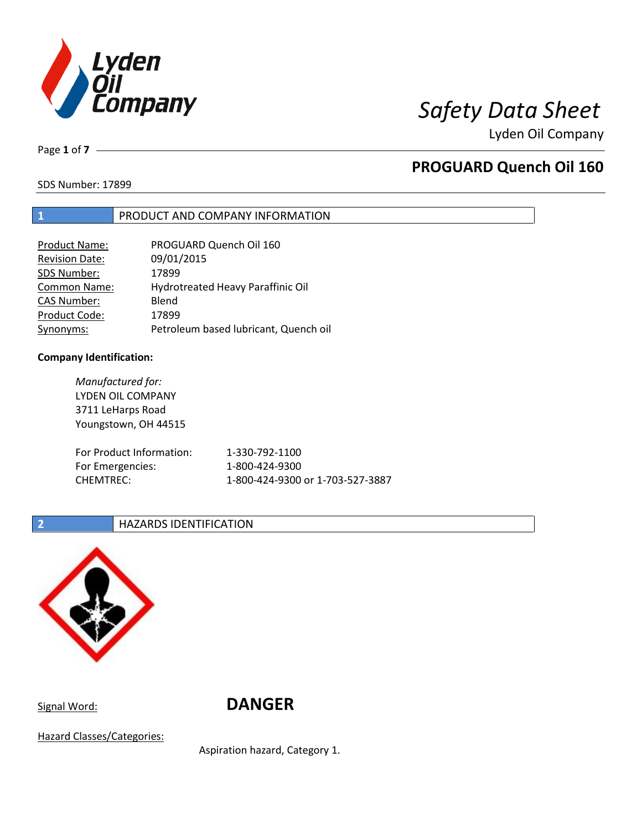

Page **1** of **7**

# **PROGUARD Quench Oil 160**

SDS Number: 17899

### **1** PRODUCT AND COMPANY INFORMATION

| <b>Product Name:</b>  | PROGUARD Quench Oil 160               |
|-----------------------|---------------------------------------|
| <b>Revision Date:</b> | 09/01/2015                            |
| SDS Number:           | 17899                                 |
| <b>Common Name:</b>   | Hydrotreated Heavy Paraffinic Oil     |
| <b>CAS Number:</b>    | Blend                                 |
| Product Code:         | 17899                                 |
| Synonyms:             | Petroleum based lubricant, Quench oil |

### **Company Identification:**

*Manufactured for:* LYDEN OIL COMPANY 3711 LeHarps Road Youngstown, OH 44515 For Product Information: 1-330-792-1100 For Emergencies: 1-800-424-9300 CHEMTREC: 1-800-424-9300 or 1-703-527-3887

### **2 HAZARDS IDENTIFICATION**



Signal Word: **DANGER**

Hazard Classes/Categories:

Aspiration hazard, Category 1.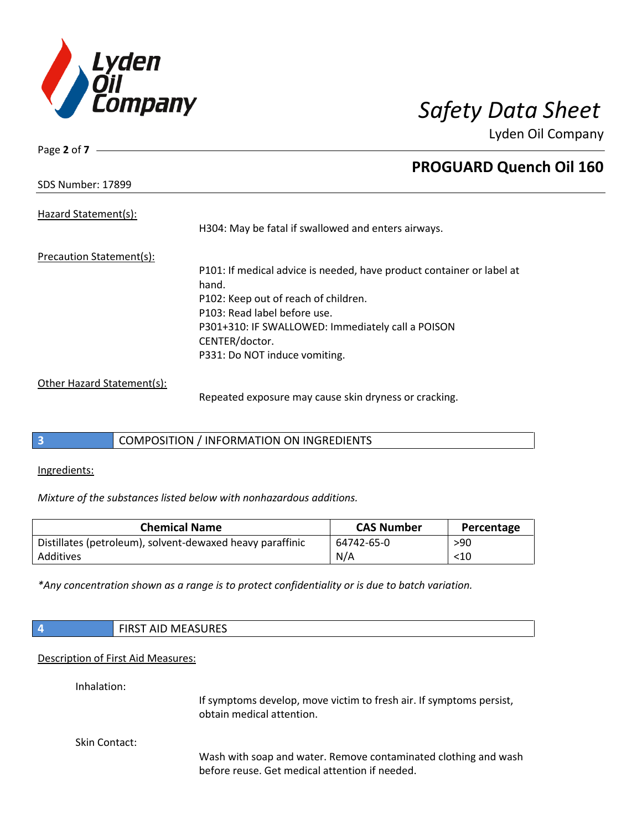

SDS Number: 17899

Page **2** of **7**

# **PROGUARD Quench Oil 160**

Hazard Statement(s):

H304: May be fatal if swallowed and enters airways.

Precaution Statement(s):

P101: If medical advice is needed, have product container or label at hand. P102: Keep out of reach of children. P103: Read label before use. P301+310: IF SWALLOWED: Immediately call a POISON CENTER/doctor. P331: Do NOT induce vomiting.

Other Hazard Statement(s):

Repeated exposure may cause skin dryness or cracking.

## **3** COMPOSITION / INFORMATION ON INGREDIENTS

Ingredients:

*Mixture of the substances listed below with nonhazardous additions.*

| <b>Chemical Name</b>                                      | <b>CAS Number</b> | Percentage |
|-----------------------------------------------------------|-------------------|------------|
| Distillates (petroleum), solvent-dewaxed heavy paraffinic | 64742-65-0        | >90        |
| Additives                                                 | N/A               | $<$ 10     |

*\*Any concentration shown as a range is to protect confidentiality or is due to batch variation.*

| $\overline{4}$                     | <b>FIRST AID MEASURES</b>                                                                                         |  |  |
|------------------------------------|-------------------------------------------------------------------------------------------------------------------|--|--|
| Description of First Aid Measures: |                                                                                                                   |  |  |
| Inhalation:                        | If symptoms develop, move victim to fresh air. If symptoms persist,<br>obtain medical attention.                  |  |  |
| Skin Contact:                      | Wash with soap and water. Remove contaminated clothing and wash<br>before reuse. Get medical attention if needed. |  |  |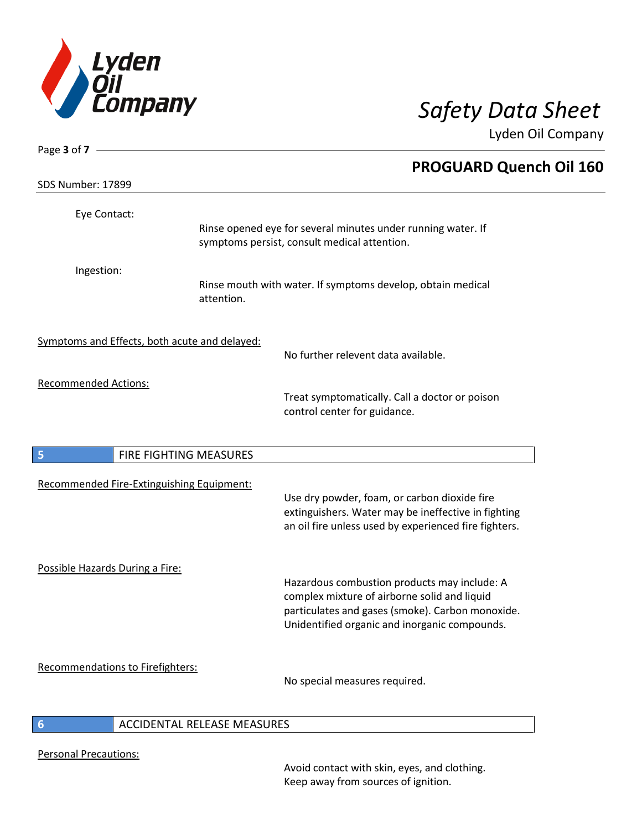

| Page 3 of 7 $\_\_$                            |                             |                                                                                                                                                                                                   |
|-----------------------------------------------|-----------------------------|---------------------------------------------------------------------------------------------------------------------------------------------------------------------------------------------------|
|                                               |                             | <b>PROGUARD Quench Oil 160</b>                                                                                                                                                                    |
| SDS Number: 17899                             |                             |                                                                                                                                                                                                   |
| Eye Contact:                                  |                             |                                                                                                                                                                                                   |
|                                               |                             | Rinse opened eye for several minutes under running water. If<br>symptoms persist, consult medical attention.                                                                                      |
| Ingestion:                                    | attention.                  | Rinse mouth with water. If symptoms develop, obtain medical                                                                                                                                       |
| Symptoms and Effects, both acute and delayed: |                             | No further relevent data available.                                                                                                                                                               |
| <b>Recommended Actions:</b>                   |                             | Treat symptomatically. Call a doctor or poison<br>control center for guidance.                                                                                                                    |
| 5                                             | FIRE FIGHTING MEASURES      |                                                                                                                                                                                                   |
| Recommended Fire-Extinguishing Equipment:     |                             | Use dry powder, foam, or carbon dioxide fire<br>extinguishers. Water may be ineffective in fighting<br>an oil fire unless used by experienced fire fighters.                                      |
| Possible Hazards During a Fire:               |                             | Hazardous combustion products may include: A<br>complex mixture of airborne solid and liquid<br>particulates and gases (smoke). Carbon monoxide.<br>Unidentified organic and inorganic compounds. |
| Recommendations to Firefighters:              |                             | No special measures required.                                                                                                                                                                     |
|                                               | ACCIDENTAL RELEASE MEASURES |                                                                                                                                                                                                   |

## **6** ACCIDENTAL RELEASE MEASURES

Personal Precautions:

Avoid contact with skin, eyes, and clothing. Keep away from sources of ignition.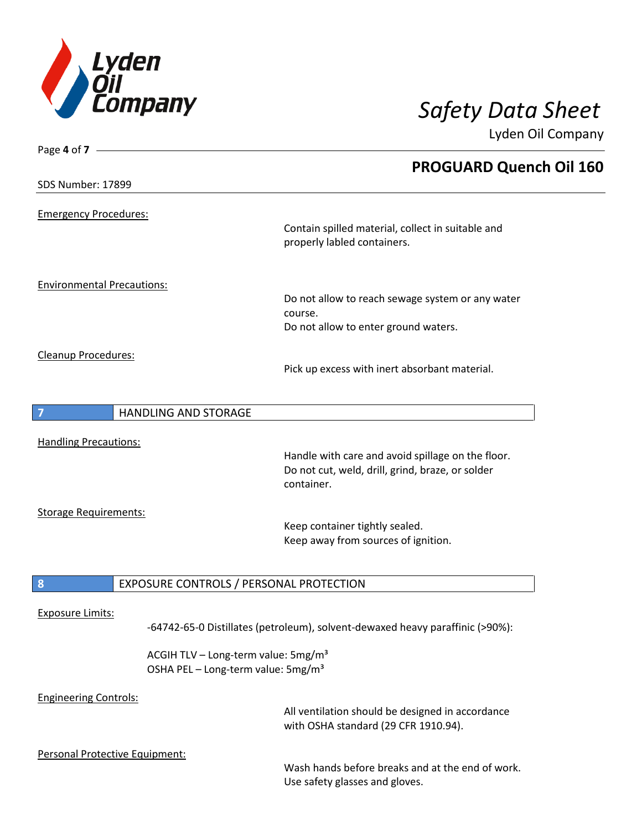

| <b>PROGUARD Quench Oil 160</b><br>SDS Number: 17899<br><b>Emergency Procedures:</b><br>Contain spilled material, collect in suitable and<br>properly labled containers.<br><b>Environmental Precautions:</b><br>Do not allow to reach sewage system or any water<br>course.<br>Do not allow to enter ground waters.<br>Cleanup Procedures: |
|--------------------------------------------------------------------------------------------------------------------------------------------------------------------------------------------------------------------------------------------------------------------------------------------------------------------------------------------|
|                                                                                                                                                                                                                                                                                                                                            |
|                                                                                                                                                                                                                                                                                                                                            |
|                                                                                                                                                                                                                                                                                                                                            |
|                                                                                                                                                                                                                                                                                                                                            |
|                                                                                                                                                                                                                                                                                                                                            |
|                                                                                                                                                                                                                                                                                                                                            |
|                                                                                                                                                                                                                                                                                                                                            |
|                                                                                                                                                                                                                                                                                                                                            |
|                                                                                                                                                                                                                                                                                                                                            |
|                                                                                                                                                                                                                                                                                                                                            |
|                                                                                                                                                                                                                                                                                                                                            |
|                                                                                                                                                                                                                                                                                                                                            |
| Pick up excess with inert absorbant material.                                                                                                                                                                                                                                                                                              |
|                                                                                                                                                                                                                                                                                                                                            |
| <b>HANDLING AND STORAGE</b>                                                                                                                                                                                                                                                                                                                |
|                                                                                                                                                                                                                                                                                                                                            |
| <b>Handling Precautions:</b><br>Handle with care and avoid spillage on the floor.                                                                                                                                                                                                                                                          |
| Do not cut, weld, drill, grind, braze, or solder                                                                                                                                                                                                                                                                                           |
| container.                                                                                                                                                                                                                                                                                                                                 |
|                                                                                                                                                                                                                                                                                                                                            |
| <b>Storage Requirements:</b>                                                                                                                                                                                                                                                                                                               |
| Keep container tightly sealed.<br>Keep away from sources of ignition.                                                                                                                                                                                                                                                                      |
|                                                                                                                                                                                                                                                                                                                                            |
|                                                                                                                                                                                                                                                                                                                                            |
| 8<br>EXPOSURE CONTROLS / PERSONAL PROTECTION                                                                                                                                                                                                                                                                                               |
| <b>Exposure Limits:</b>                                                                                                                                                                                                                                                                                                                    |
| -64742-65-0 Distillates (petroleum), solvent-dewaxed heavy paraffinic (>90%):                                                                                                                                                                                                                                                              |
|                                                                                                                                                                                                                                                                                                                                            |
| ACGIH TLV - Long-term value: 5mg/m <sup>3</sup>                                                                                                                                                                                                                                                                                            |
| OSHA PEL - Long-term value: 5mg/m <sup>3</sup>                                                                                                                                                                                                                                                                                             |
| <b>Engineering Controls:</b>                                                                                                                                                                                                                                                                                                               |
| All ventilation should be designed in accordance                                                                                                                                                                                                                                                                                           |
| with OSHA standard (29 CFR 1910.94).                                                                                                                                                                                                                                                                                                       |
| Personal Protective Equipment:                                                                                                                                                                                                                                                                                                             |

Wash hands before breaks and at the end of work. Use safety glasses and gloves.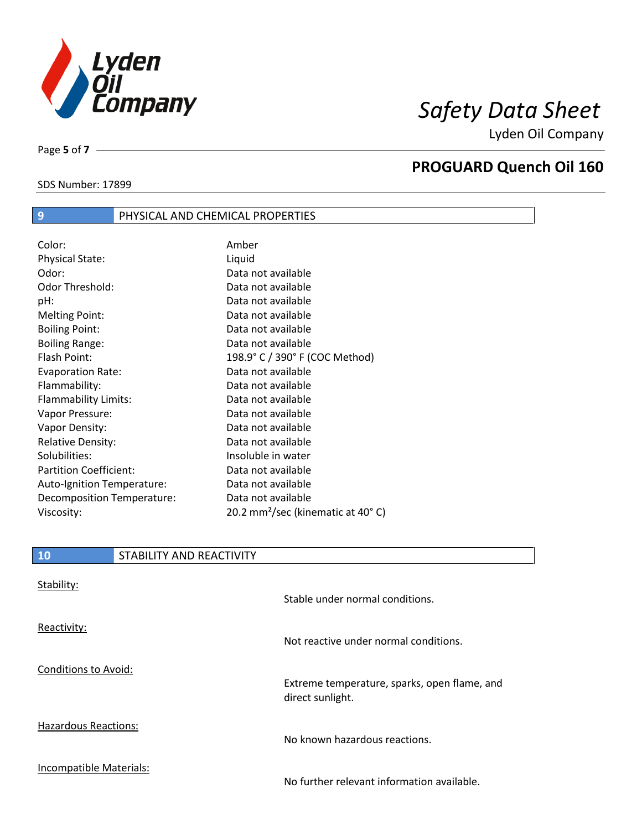

SDS Number: 17899

Page **5** of **7**

# **PROGUARD Quench Oil 160**

| 9                             | PHYSICAL AND CHEMICAL PROPERTIES |                                               |  |
|-------------------------------|----------------------------------|-----------------------------------------------|--|
|                               |                                  |                                               |  |
| Color:                        |                                  | Amber                                         |  |
| <b>Physical State:</b>        |                                  | Liquid                                        |  |
| Odor:                         |                                  | Data not available                            |  |
| Odor Threshold:               |                                  | Data not available                            |  |
| pH:                           |                                  | Data not available                            |  |
| <b>Melting Point:</b>         |                                  | Data not available                            |  |
| <b>Boiling Point:</b>         |                                  | Data not available                            |  |
| <b>Boiling Range:</b>         |                                  | Data not available                            |  |
| Flash Point:                  |                                  | 198.9° C / 390° F (COC Method)                |  |
| <b>Evaporation Rate:</b>      |                                  | Data not available                            |  |
| Flammability:                 |                                  | Data not available                            |  |
| Flammability Limits:          |                                  | Data not available                            |  |
| Vapor Pressure:               |                                  | Data not available                            |  |
| Vapor Density:                |                                  | Data not available                            |  |
| <b>Relative Density:</b>      |                                  | Data not available                            |  |
| Solubilities:                 |                                  | Insoluble in water                            |  |
| <b>Partition Coefficient:</b> |                                  | Data not available                            |  |
| Auto-Ignition Temperature:    |                                  | Data not available                            |  |
| Decomposition Temperature:    |                                  | Data not available                            |  |
| Viscosity:                    |                                  | 20.2 mm <sup>2</sup> /sec (kinematic at 40°C) |  |
|                               |                                  |                                               |  |

| 10                          | STABILITY AND REACTIVITY |                                                                  |
|-----------------------------|--------------------------|------------------------------------------------------------------|
| Stability:                  |                          | Stable under normal conditions.                                  |
| Reactivity:                 |                          | Not reactive under normal conditions.                            |
| <b>Conditions to Avoid:</b> |                          | Extreme temperature, sparks, open flame, and<br>direct sunlight. |
| <b>Hazardous Reactions:</b> |                          | No known hazardous reactions.                                    |
| Incompatible Materials:     |                          | No further relevant information available.                       |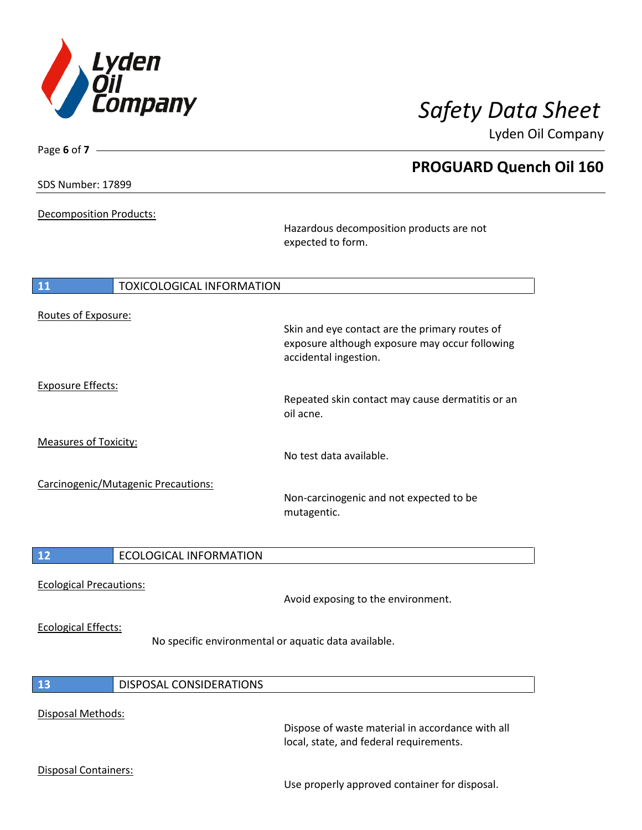

**PROGUARD Quench Oil 160**

Lyden Oil Company

| SDS Number: 17899 |  |
|-------------------|--|
|                   |  |

Page **6** of **7**

Decomposition Products:

Hazardous decomposition products are not expected to form.

| <b>11</b>                    | <b>TOXICOLOGICAL INFORMATION</b>    |                                                                                                                           |
|------------------------------|-------------------------------------|---------------------------------------------------------------------------------------------------------------------------|
| Routes of Exposure:          |                                     | Skin and eye contact are the primary routes of<br>exposure although exposure may occur following<br>accidental ingestion. |
| <b>Exposure Effects:</b>     |                                     | Repeated skin contact may cause dermatitis or an<br>oil acne.                                                             |
| <b>Measures of Toxicity:</b> |                                     | No test data available.                                                                                                   |
|                              | Carcinogenic/Mutagenic Precautions: | Non-carcinogenic and not expected to be<br>mutagentic.                                                                    |

Ecological Precautions:

Avoid exposing to the environment.

### Ecological Effects:

No specific environmental or aquatic data available.

|  | - 12 | DISPOSAL CONSIDERATIONS |
|--|------|-------------------------|
|--|------|-------------------------|

### Disposal Methods:

Dispose of waste material in accordance with all local, state, and federal requirements.

### Disposal Containers:

Use properly approved container for disposal.